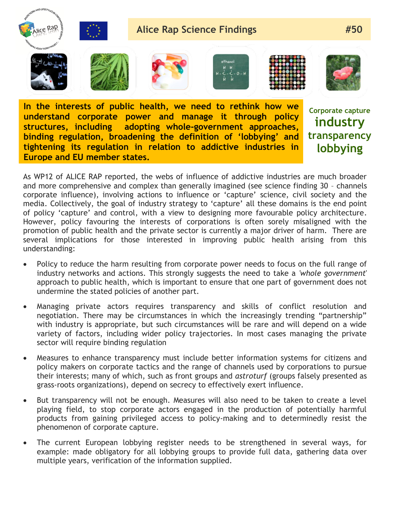

**In the interests of public health, we need to rethink how we understand corporate power and manage it through policy structures, including adopting whole-government approaches, binding regulation, broadening the definition of 'lobbying' and tightening its regulation in relation to addictive industries in Europe and EU member states.**

**Corporate capture industry transparency lobbying**

As WP12 of ALICE RAP reported, the webs of influence of addictive industries are much broader and more comprehensive and complex than generally imagined (see science finding 30 – channels corporate influence), involving actions to influence or 'capture' science, civil society and the media. Collectively, the goal of industry strategy to 'capture' all these domains is the end point of policy 'capture' and control, with a view to designing more favourable policy architecture. However, policy favouring the interests of corporations is often sorely misaligned with the promotion of public health and the private sector is currently a major driver of harm. There are several implications for those interested in improving public health arising from this understanding:

- Policy to reduce the harm resulting from corporate power needs to focus on the full range of industry networks and actions. This strongly suggests the need to take a *'whole government*' approach to public health, which is important to ensure that one part of government does not undermine the stated policies of another part.
- Managing private actors requires transparency and skills of conflict resolution and negotiation. There may be circumstances in which the increasingly trending "partnership" with industry is appropriate, but such circumstances will be rare and will depend on a wide variety of factors, including wider policy trajectories. In most cases managing the private sector will require binding regulation
- Measures to enhance transparency must include better information systems for citizens and policy makers on corporate tactics and the range of channels used by corporations to pursue their interests; many of which, such as front groups and *astroturf* (groups falsely presented as grass-roots organizations), depend on secrecy to effectively exert influence.
- But transparency will not be enough. Measures will also need to be taken to create a level playing field, to stop corporate actors engaged in the production of potentially harmful products from gaining privileged access to policy-making and to determinedly resist the phenomenon of corporate capture.
- The current European lobbying register needs to be strengthened in several ways, for example: made obligatory for all lobbying groups to provide full data, gathering data over multiple years, verification of the information supplied.